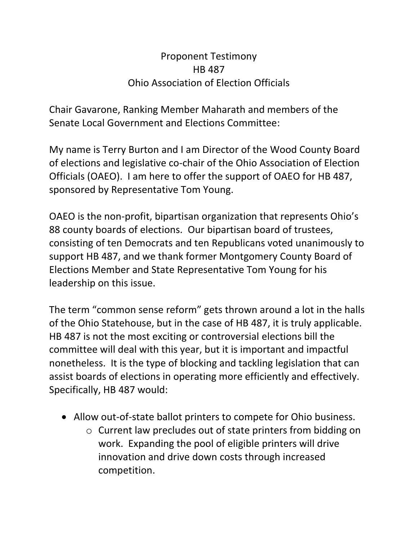## Proponent Testimony HB 487 Ohio Association of Election Officials

Chair Gavarone, Ranking Member Maharath and members of the Senate Local Government and Elections Committee:

My name is Terry Burton and I am Director of the Wood County Board of elections and legislative co-chair of the Ohio Association of Election Officials (OAEO). I am here to offer the support of OAEO for HB 487, sponsored by Representative Tom Young.

OAEO is the non-profit, bipartisan organization that represents Ohio's 88 county boards of elections. Our bipartisan board of trustees, consisting of ten Democrats and ten Republicans voted unanimously to support HB 487, and we thank former Montgomery County Board of Elections Member and State Representative Tom Young for his leadership on this issue.

The term "common sense reform" gets thrown around a lot in the halls of the Ohio Statehouse, but in the case of HB 487, it is truly applicable. HB 487 is not the most exciting or controversial elections bill the committee will deal with this year, but it is important and impactful nonetheless. It is the type of blocking and tackling legislation that can assist boards of elections in operating more efficiently and effectively. Specifically, HB 487 would:

- Allow out-of-state ballot printers to compete for Ohio business.
	- o Current law precludes out of state printers from bidding on work. Expanding the pool of eligible printers will drive innovation and drive down costs through increased competition.